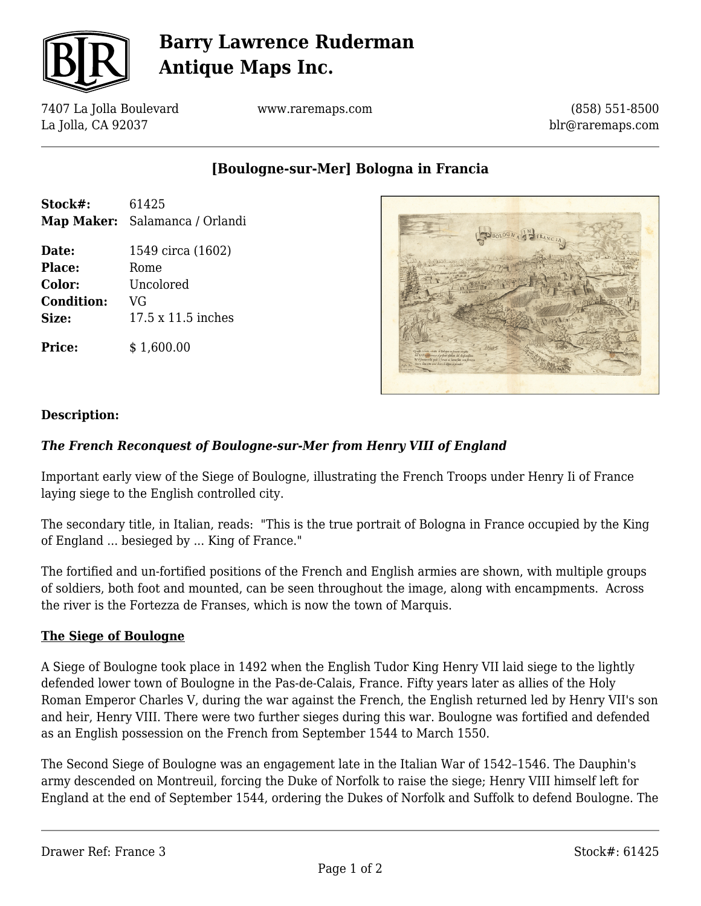

# **Barry Lawrence Ruderman Antique Maps Inc.**

7407 La Jolla Boulevard La Jolla, CA 92037

www.raremaps.com

(858) 551-8500 blr@raremaps.com

**[Boulogne-sur-Mer] Bologna in Francia**

| Stock#: | 61425                          |
|---------|--------------------------------|
|         | Map Maker: Salamanca / Orlandi |

**Date:** 1549 circa (1602) Place: Rome **Color:** Uncolored **Condition:** VG **Size:** 17.5 x 11.5 inches

**Price:**  $$ 1.600.00$ 



### **Description:**

### *The French Reconquest of Boulogne-sur-Mer from Henry VIII of England*

Important early view of the Siege of Boulogne, illustrating the French Troops under Henry Ii of France laying siege to the English controlled city.

The secondary title, in Italian, reads: "This is the true portrait of Bologna in France occupied by the King of England ... besieged by ... King of France."

The fortified and un-fortified positions of the French and English armies are shown, with multiple groups of soldiers, both foot and mounted, can be seen throughout the image, along with encampments. Across the river is the Fortezza de Franses, which is now the town of Marquis.

#### **The Siege of Boulogne**

A Siege of Boulogne took place in 1492 when the English Tudor King Henry VII laid siege to the lightly defended lower town of Boulogne in the Pas-de-Calais, France. Fifty years later as allies of the Holy Roman Emperor Charles V, during the war against the French, the English returned led by Henry VII's son and heir, Henry VIII. There were two further sieges during this war. Boulogne was fortified and defended as an English possession on the French from September 1544 to March 1550.

The Second Siege of Boulogne was an engagement late in the Italian War of 1542–1546. The Dauphin's army descended on Montreuil, forcing the Duke of Norfolk to raise the siege; Henry VIII himself left for England at the end of September 1544, ordering the Dukes of Norfolk and Suffolk to defend Boulogne. The